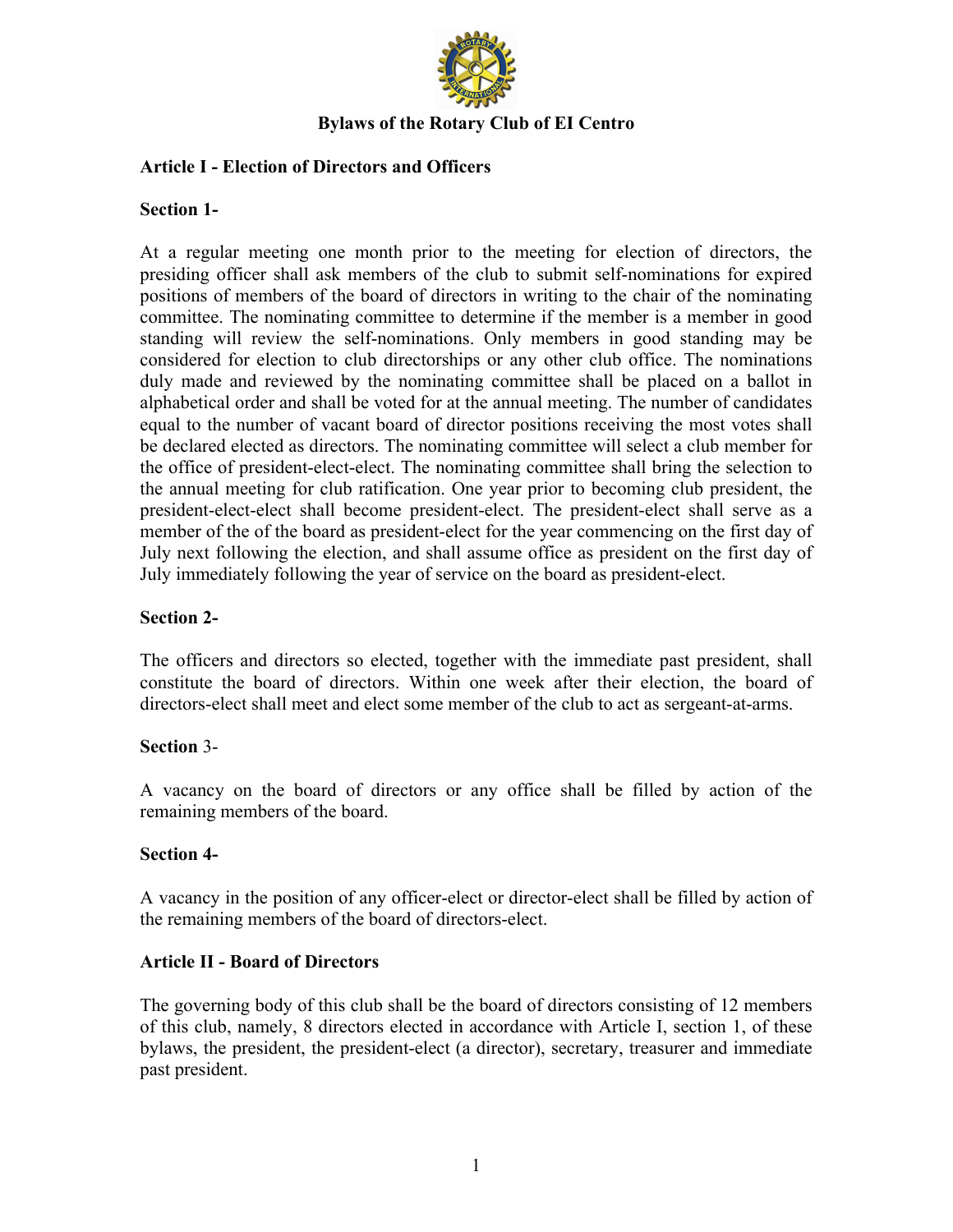

# **Bylaws of the Rotary Club of EI Centro**

# **Article I - Election of Directors and Officers**

## **Section 1-**

At a regular meeting one month prior to the meeting for election of directors, the presiding officer shall ask members of the club to submit self-nominations for expired positions of members of the board of directors in writing to the chair of the nominating committee. The nominating committee to determine if the member is a member in good standing will review the self-nominations. Only members in good standing may be considered for election to club directorships or any other club office. The nominations duly made and reviewed by the nominating committee shall be placed on a ballot in alphabetical order and shall be voted for at the annual meeting. The number of candidates equal to the number of vacant board of director positions receiving the most votes shall be declared elected as directors. The nominating committee will select a club member for the office of president-elect-elect. The nominating committee shall bring the selection to the annual meeting for club ratification. One year prior to becoming club president, the president-elect-elect shall become president-elect. The president-elect shall serve as a member of the of the board as president-elect for the year commencing on the first day of July next following the election, and shall assume office as president on the first day of July immediately following the year of service on the board as president-elect.

#### **Section 2-**

The officers and directors so elected, together with the immediate past president, shall constitute the board of directors. Within one week after their election, the board of directors-elect shall meet and elect some member of the club to act as sergeant-at-arms.

#### **Section** 3-

A vacancy on the board of directors or any office shall be filled by action of the remaining members of the board.

#### **Section 4-**

A vacancy in the position of any officer-elect or director-elect shall be filled by action of the remaining members of the board of directors-elect.

#### **Article II - Board of Directors**

The governing body of this club shall be the board of directors consisting of 12 members of this club, namely, 8 directors elected in accordance with Article I, section 1, of these bylaws, the president, the president-elect (a director), secretary, treasurer and immediate past president.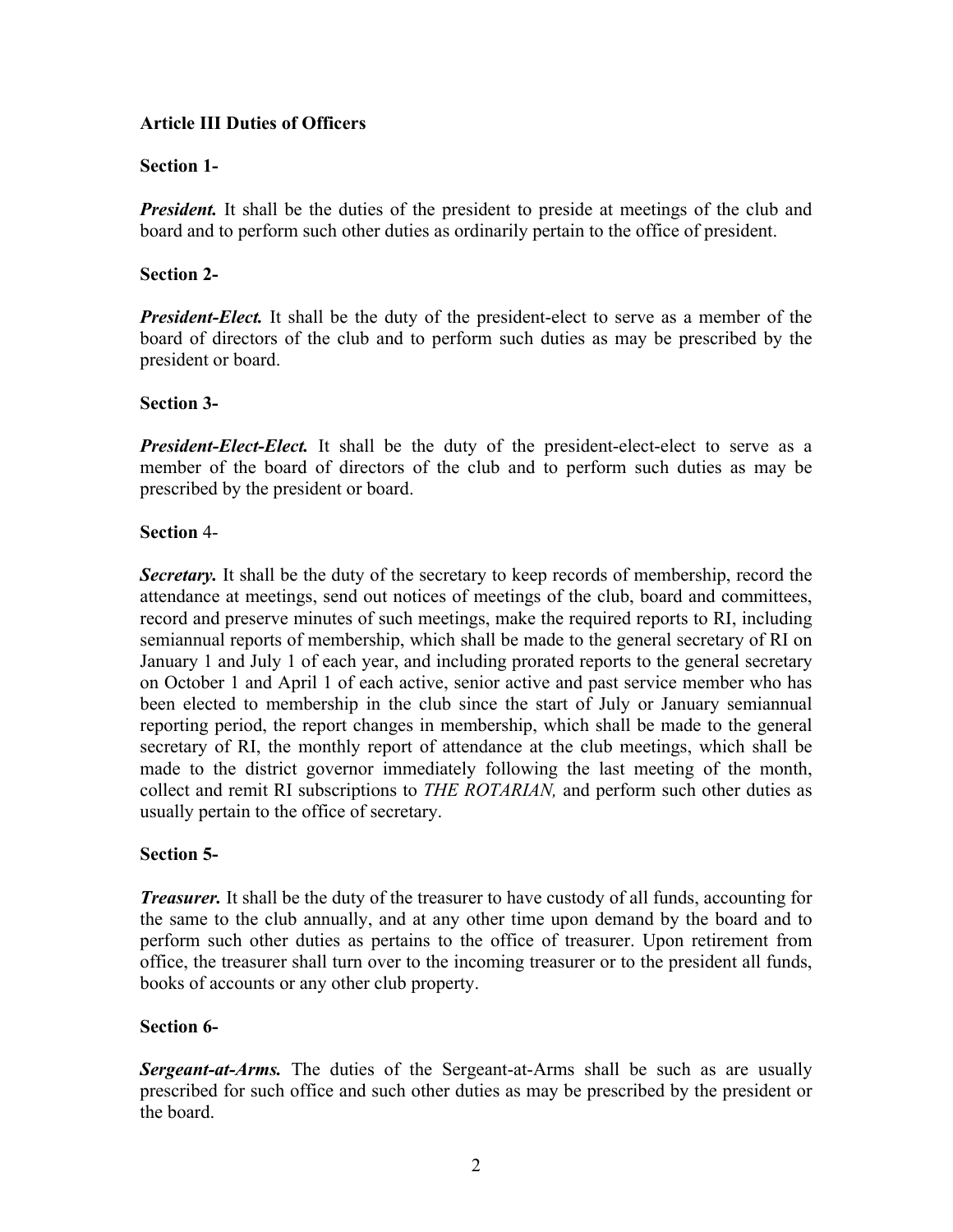# **Article III Duties of Officers**

## **Section 1-**

*President.* It shall be the duties of the president to preside at meetings of the club and board and to perform such other duties as ordinarily pertain to the office of president.

#### **Section 2-**

*President-Elect.* It shall be the duty of the president-elect to serve as a member of the board of directors of the club and to perform such duties as may be prescribed by the president or board.

#### **Section 3-**

*President-Elect-Elect.* It shall be the duty of the president-elect-elect to serve as a member of the board of directors of the club and to perform such duties as may be prescribed by the president or board.

#### **Section** 4-

*Secretary.* It shall be the duty of the secretary to keep records of membership, record the attendance at meetings, send out notices of meetings of the club, board and committees, record and preserve minutes of such meetings, make the required reports to RI, including semiannual reports of membership, which shall be made to the general secretary of RI on January 1 and July 1 of each year, and including prorated reports to the general secretary on October 1 and April 1 of each active, senior active and past service member who has been elected to membership in the club since the start of July or January semiannual reporting period, the report changes in membership, which shall be made to the general secretary of RI, the monthly report of attendance at the club meetings, which shall be made to the district governor immediately following the last meeting of the month, collect and remit RI subscriptions to *THE ROTARIAN,* and perform such other duties as usually pertain to the office of secretary.

#### **Section 5-**

*Treasurer.* It shall be the duty of the treasurer to have custody of all funds, accounting for the same to the club annually, and at any other time upon demand by the board and to perform such other duties as pertains to the office of treasurer. Upon retirement from office, the treasurer shall turn over to the incoming treasurer or to the president all funds, books of accounts or any other club property.

#### **Section 6-**

*Sergeant-at-Arms.* The duties of the Sergeant-at-Arms shall be such as are usually prescribed for such office and such other duties as may be prescribed by the president or the board.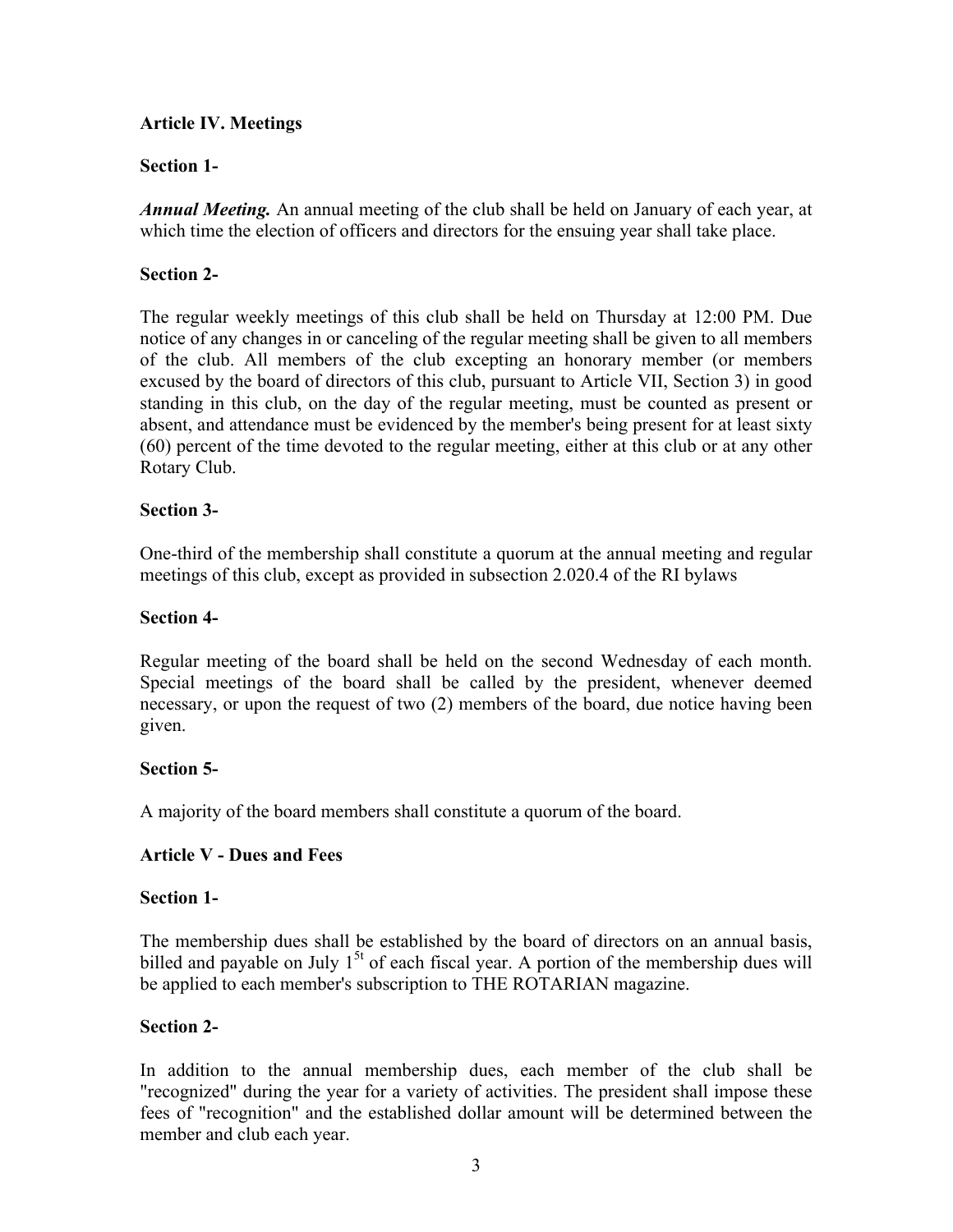# **Article IV. Meetings**

# **Section 1-**

*Annual Meeting.* An annual meeting of the club shall be held on January of each year, at which time the election of officers and directors for the ensuing year shall take place.

# **Section 2-**

The regular weekly meetings of this club shall be held on Thursday at 12:00 PM. Due notice of any changes in or canceling of the regular meeting shall be given to all members of the club. All members of the club excepting an honorary member (or members excused by the board of directors of this club, pursuant to Article VII, Section 3) in good standing in this club, on the day of the regular meeting, must be counted as present or absent, and attendance must be evidenced by the member's being present for at least sixty (60) percent of the time devoted to the regular meeting, either at this club or at any other Rotary Club.

# **Section 3-**

One-third of the membership shall constitute a quorum at the annual meeting and regular meetings of this club, except as provided in subsection 2.020.4 of the RI bylaws

# **Section 4-**

Regular meeting of the board shall be held on the second Wednesday of each month. Special meetings of the board shall be called by the president, whenever deemed necessary, or upon the request of two (2) members of the board, due notice having been given.

# **Section 5-**

A majority of the board members shall constitute a quorum of the board.

# **Article V - Dues and Fees**

#### **Section 1-**

The membership dues shall be established by the board of directors on an annual basis, billed and payable on July  $1<sup>5t</sup>$  of each fiscal year. A portion of the membership dues will be applied to each member's subscription to THE ROTARIAN magazine.

# **Section 2-**

In addition to the annual membership dues, each member of the club shall be "recognized" during the year for a variety of activities. The president shall impose these fees of "recognition" and the established dollar amount will be determined between the member and club each year.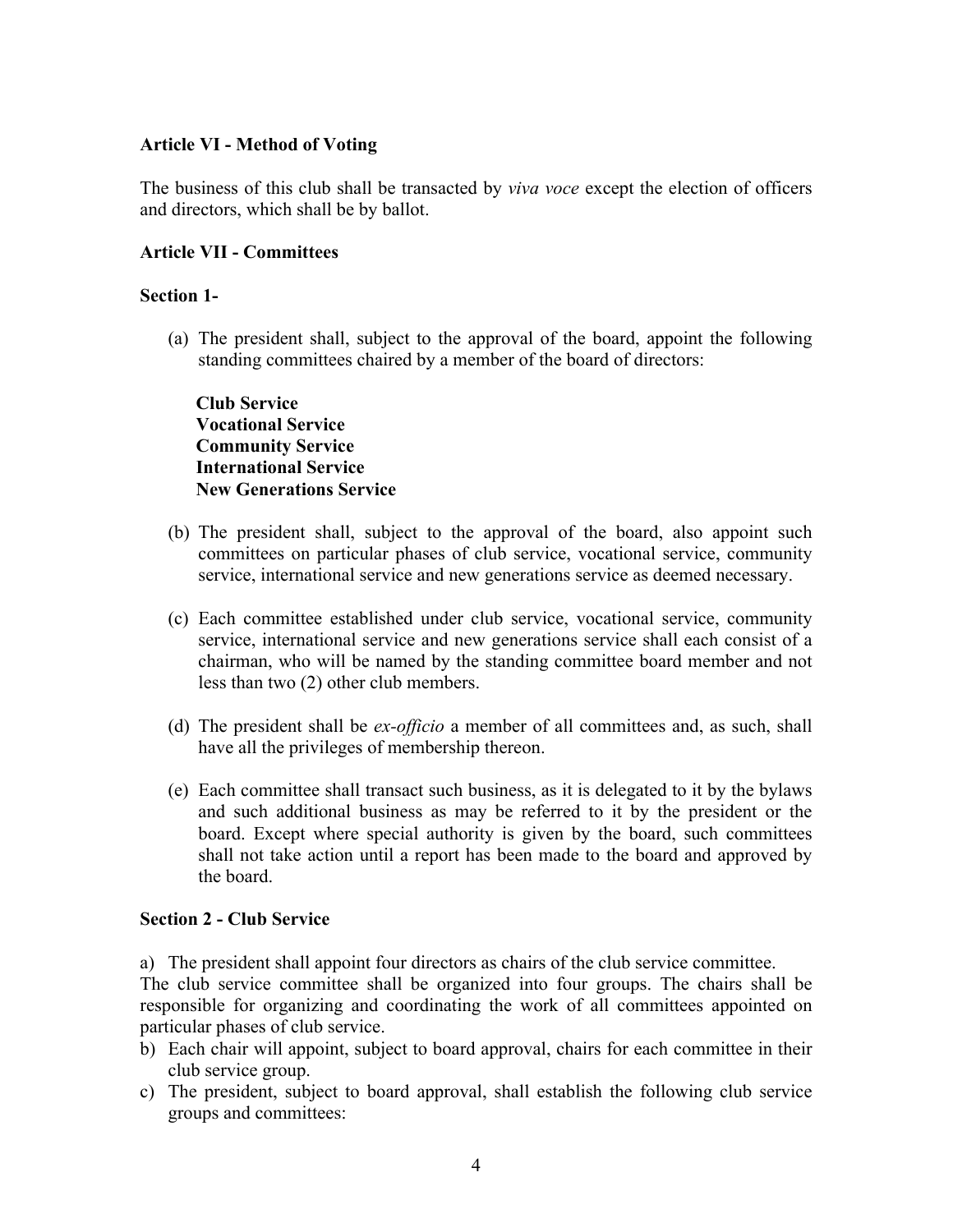## **Article VI - Method of Voting**

The business of this club shall be transacted by *viva voce* except the election of officers and directors, which shall be by ballot.

## **Article VII - Committees**

## **Section 1-**

(a) The president shall, subject to the approval of the board, appoint the following standing committees chaired by a member of the board of directors:

**Club Service Vocational Service Community Service International Service New Generations Service**

- (b) The president shall, subject to the approval of the board, also appoint such committees on particular phases of club service, vocational service, community service, international service and new generations service as deemed necessary.
- (c) Each committee established under club service, vocational service, community service, international service and new generations service shall each consist of a chairman, who will be named by the standing committee board member and not less than two (2) other club members.
- (d) The president shall be *ex-officio* a member of all committees and, as such, shall have all the privileges of membership thereon.
- (e) Each committee shall transact such business, as it is delegated to it by the bylaws and such additional business as may be referred to it by the president or the board. Except where special authority is given by the board, such committees shall not take action until a report has been made to the board and approved by the board.

#### **Section 2 - Club Service**

a) The president shall appoint four directors as chairs of the club service committee.

The club service committee shall be organized into four groups. The chairs shall be responsible for organizing and coordinating the work of all committees appointed on particular phases of club service.

- b) Each chair will appoint, subject to board approval, chairs for each committee in their club service group.
- c) The president, subject to board approval, shall establish the following club service groups and committees: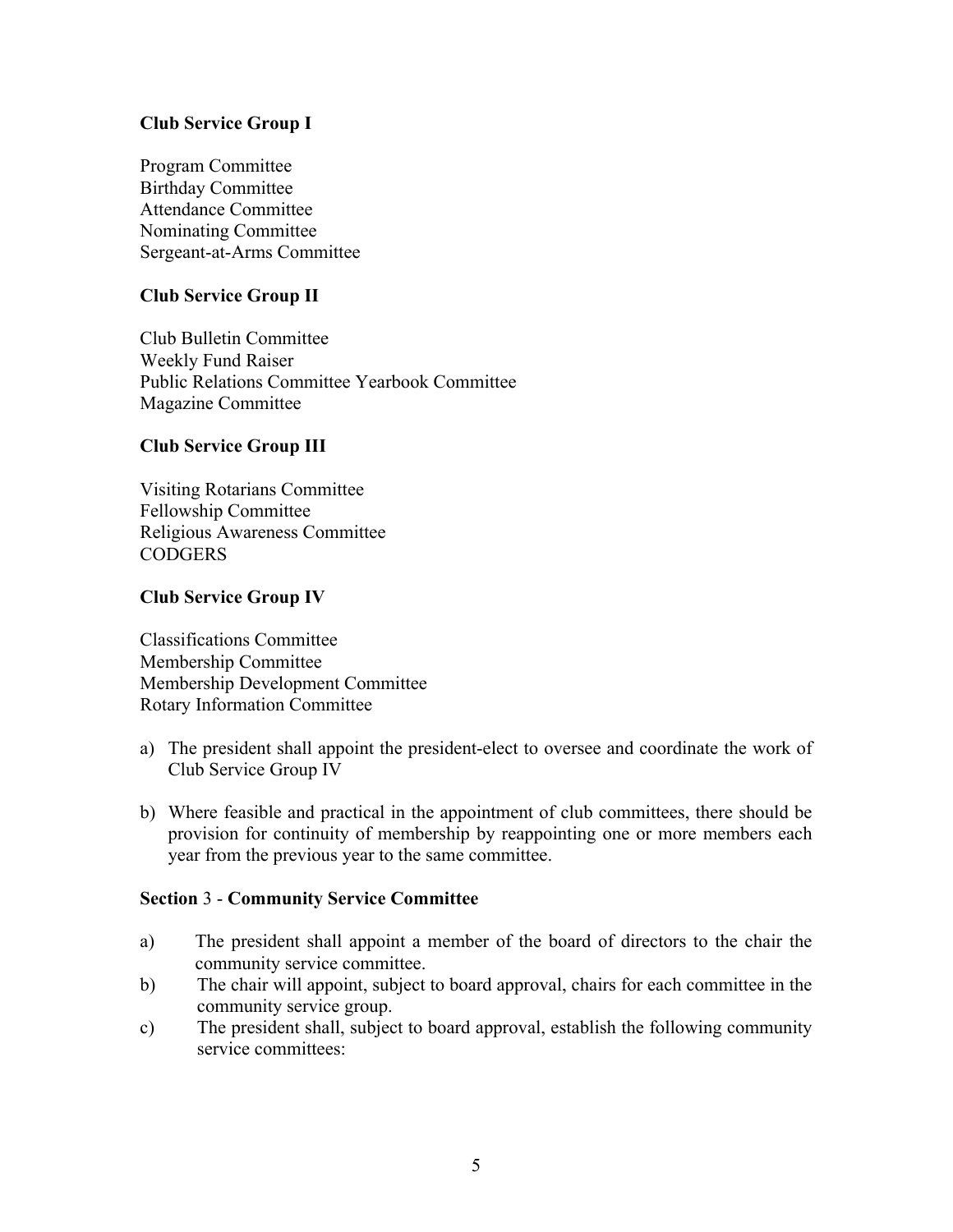# **Club Service Group I**

Program Committee Birthday Committee Attendance Committee Nominating Committee Sergeant-at-Arms Committee

# **Club Service Group II**

Club Bulletin Committee Weekly Fund Raiser Public Relations Committee Yearbook Committee Magazine Committee

#### **Club Service Group III**

Visiting Rotarians Committee Fellowship Committee Religious Awareness Committee **CODGERS** 

#### **Club Service Group IV**

Classifications Committee Membership Committee Membership Development Committee Rotary Information Committee

- a) The president shall appoint the president-elect to oversee and coordinate the work of Club Service Group IV
- b) Where feasible and practical in the appointment of club committees, there should be provision for continuity of membership by reappointing one or more members each year from the previous year to the same committee.

#### **Section** 3 - **Community Service Committee**

- a) The president shall appoint a member of the board of directors to the chair the community service committee.
- b) The chair will appoint, subject to board approval, chairs for each committee in the community service group.
- c) The president shall, subject to board approval, establish the following community service committees: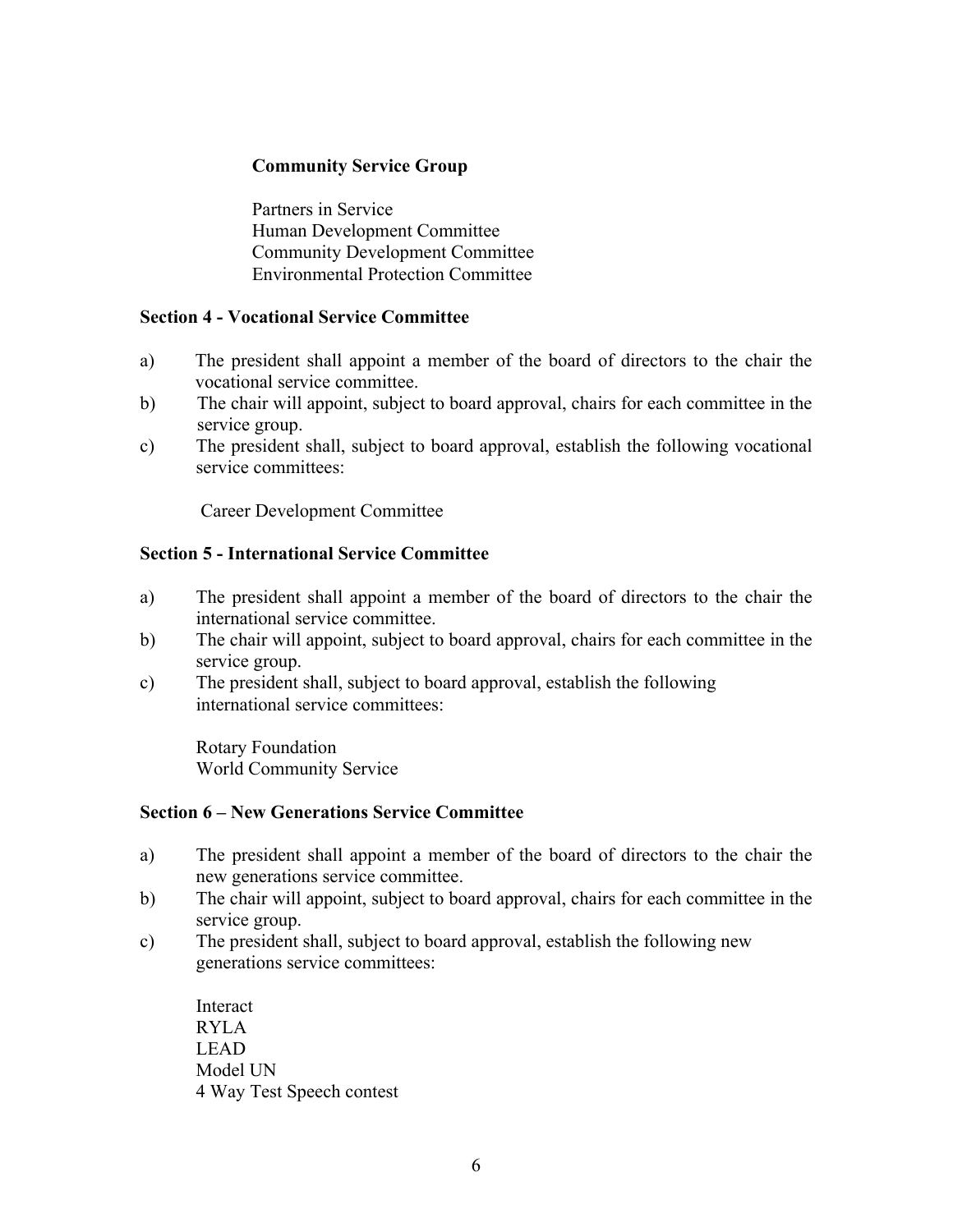# **Community Service Group**

Partners in Service Human Development Committee Community Development Committee Environmental Protection Committee

## **Section 4 - Vocational Service Committee**

- a) The president shall appoint a member of the board of directors to the chair the vocational service committee.
- b) The chair will appoint, subject to board approval, chairs for each committee in the service group.
- c) The president shall, subject to board approval, establish the following vocational service committees:

Career Development Committee

## **Section 5 - International Service Committee**

- a) The president shall appoint a member of the board of directors to the chair the international service committee.
- b) The chair will appoint, subject to board approval, chairs for each committee in the service group.
- c) The president shall, subject to board approval, establish the following international service committees:

Rotary Foundation World Community Service

#### **Section 6 – New Generations Service Committee**

- a) The president shall appoint a member of the board of directors to the chair the new generations service committee.
- b) The chair will appoint, subject to board approval, chairs for each committee in the service group.
- c) The president shall, subject to board approval, establish the following new generations service committees:

Interact RYLA LEAD Model UN 4 Way Test Speech contest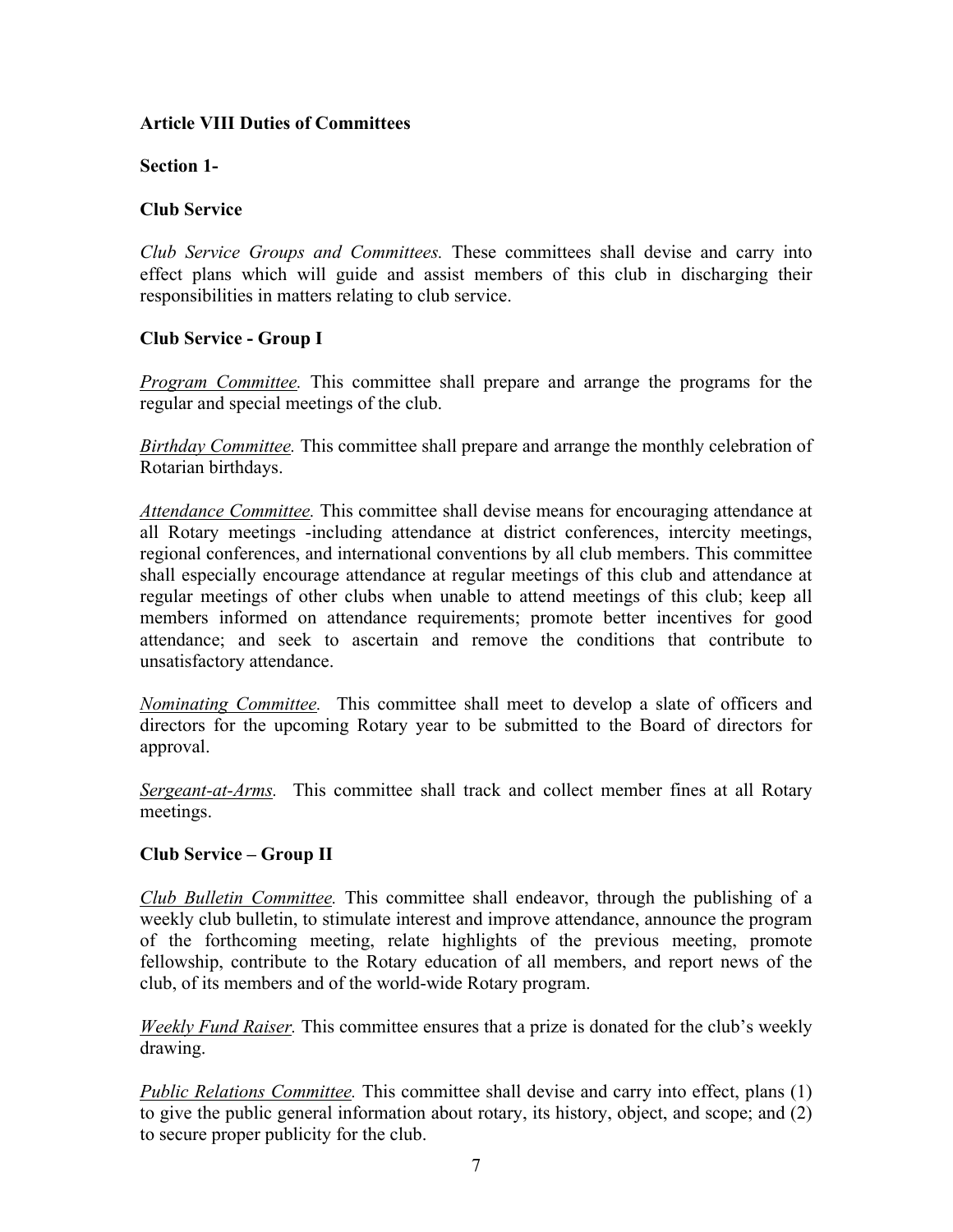# **Article VIII Duties of Committees**

## **Section 1-**

## **Club Service**

*Club Service Groups and Committees.* These committees shall devise and carry into effect plans which will guide and assist members of this club in discharging their responsibilities in matters relating to club service.

## **Club Service - Group I**

*Program Committee.* This committee shall prepare and arrange the programs for the regular and special meetings of the club.

*Birthday Committee.* This committee shall prepare and arrange the monthly celebration of Rotarian birthdays.

*Attendance Committee.* This committee shall devise means for encouraging attendance at all Rotary meetings -including attendance at district conferences, intercity meetings, regional conferences, and international conventions by all club members. This committee shall especially encourage attendance at regular meetings of this club and attendance at regular meetings of other clubs when unable to attend meetings of this club; keep all members informed on attendance requirements; promote better incentives for good attendance; and seek to ascertain and remove the conditions that contribute to unsatisfactory attendance.

*Nominating Committee.* This committee shall meet to develop a slate of officers and directors for the upcoming Rotary year to be submitted to the Board of directors for approval.

*Sergeant-at-Arms.* This committee shall track and collect member fines at all Rotary meetings.

# **Club Service – Group II**

*Club Bulletin Committee.* This committee shall endeavor, through the publishing of a weekly club bulletin, to stimulate interest and improve attendance, announce the program of the forthcoming meeting, relate highlights of the previous meeting, promote fellowship, contribute to the Rotary education of all members, and report news of the club, of its members and of the world-wide Rotary program.

*Weekly Fund Raiser.* This committee ensures that a prize is donated for the club's weekly drawing.

*Public Relations Committee.* This committee shall devise and carry into effect, plans (1) to give the public general information about rotary, its history, object, and scope; and (2) to secure proper publicity for the club.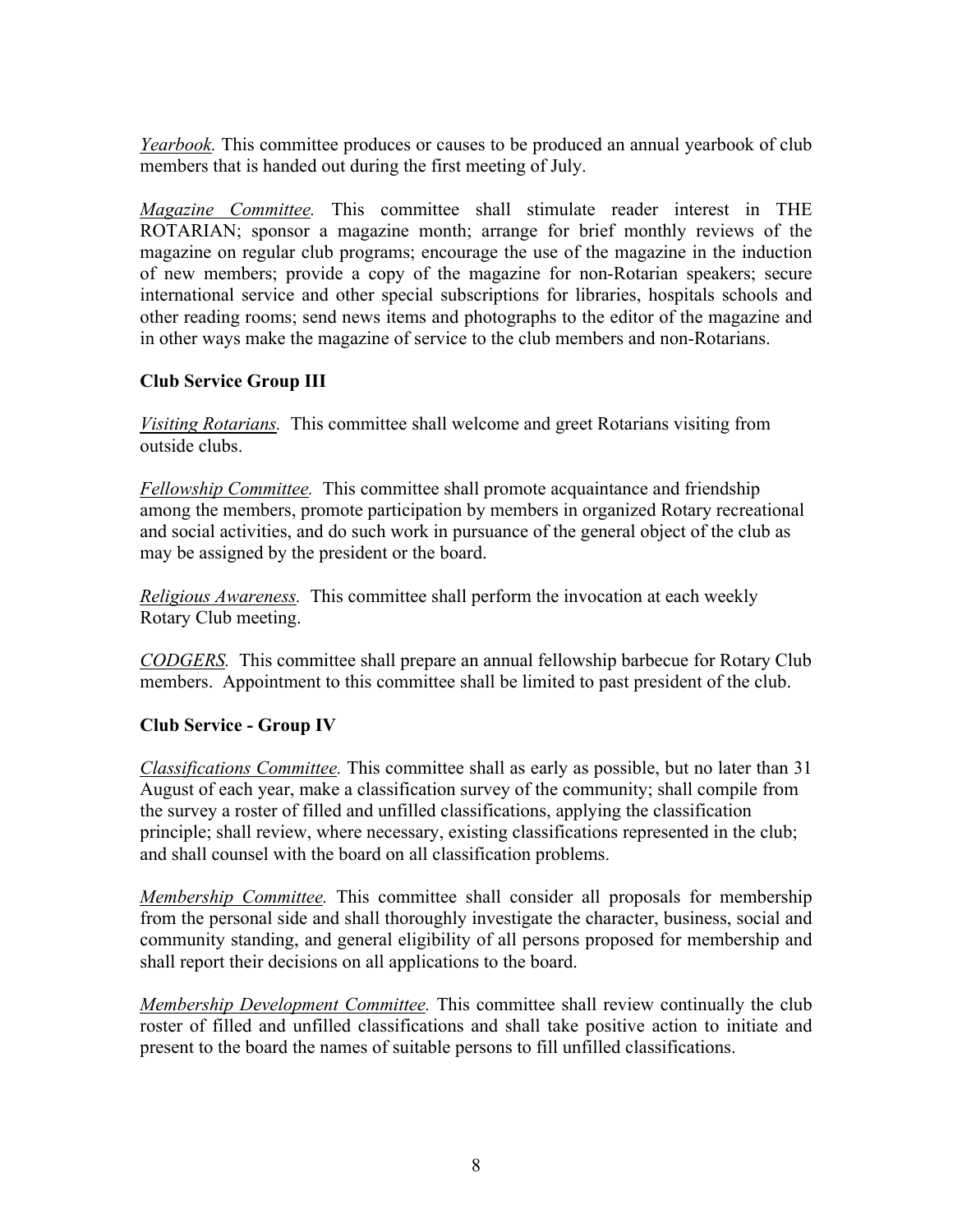*Yearbook*. This committee produces or causes to be produced an annual yearbook of club members that is handed out during the first meeting of July.

*Magazine Committee.* This committee shall stimulate reader interest in THE ROTARIAN; sponsor a magazine month; arrange for brief monthly reviews of the magazine on regular club programs; encourage the use of the magazine in the induction of new members; provide a copy of the magazine for non-Rotarian speakers; secure international service and other special subscriptions for libraries, hospitals schools and other reading rooms; send news items and photographs to the editor of the magazine and in other ways make the magazine of service to the club members and non-Rotarians.

# **Club Service Group III**

*Visiting Rotarians.* This committee shall welcome and greet Rotarians visiting from outside clubs.

*Fellowship Committee.* This committee shall promote acquaintance and friendship among the members, promote participation by members in organized Rotary recreational and social activities, and do such work in pursuance of the general object of the club as may be assigned by the president or the board.

*Religious Awareness.* This committee shall perform the invocation at each weekly Rotary Club meeting.

*CODGERS.* This committee shall prepare an annual fellowship barbecue for Rotary Club members. Appointment to this committee shall be limited to past president of the club.

# **Club Service - Group IV**

*Classifications Committee.* This committee shall as early as possible, but no later than 31 August of each year, make a classification survey of the community; shall compile from the survey a roster of filled and unfilled classifications, applying the classification principle; shall review, where necessary, existing classifications represented in the club; and shall counsel with the board on all classification problems.

*Membership Committee.* This committee shall consider all proposals for membership from the personal side and shall thoroughly investigate the character, business, social and community standing, and general eligibility of all persons proposed for membership and shall report their decisions on all applications to the board.

*Membership Development Committee.* This committee shall review continually the club roster of filled and unfilled classifications and shall take positive action to initiate and present to the board the names of suitable persons to fill unfilled classifications.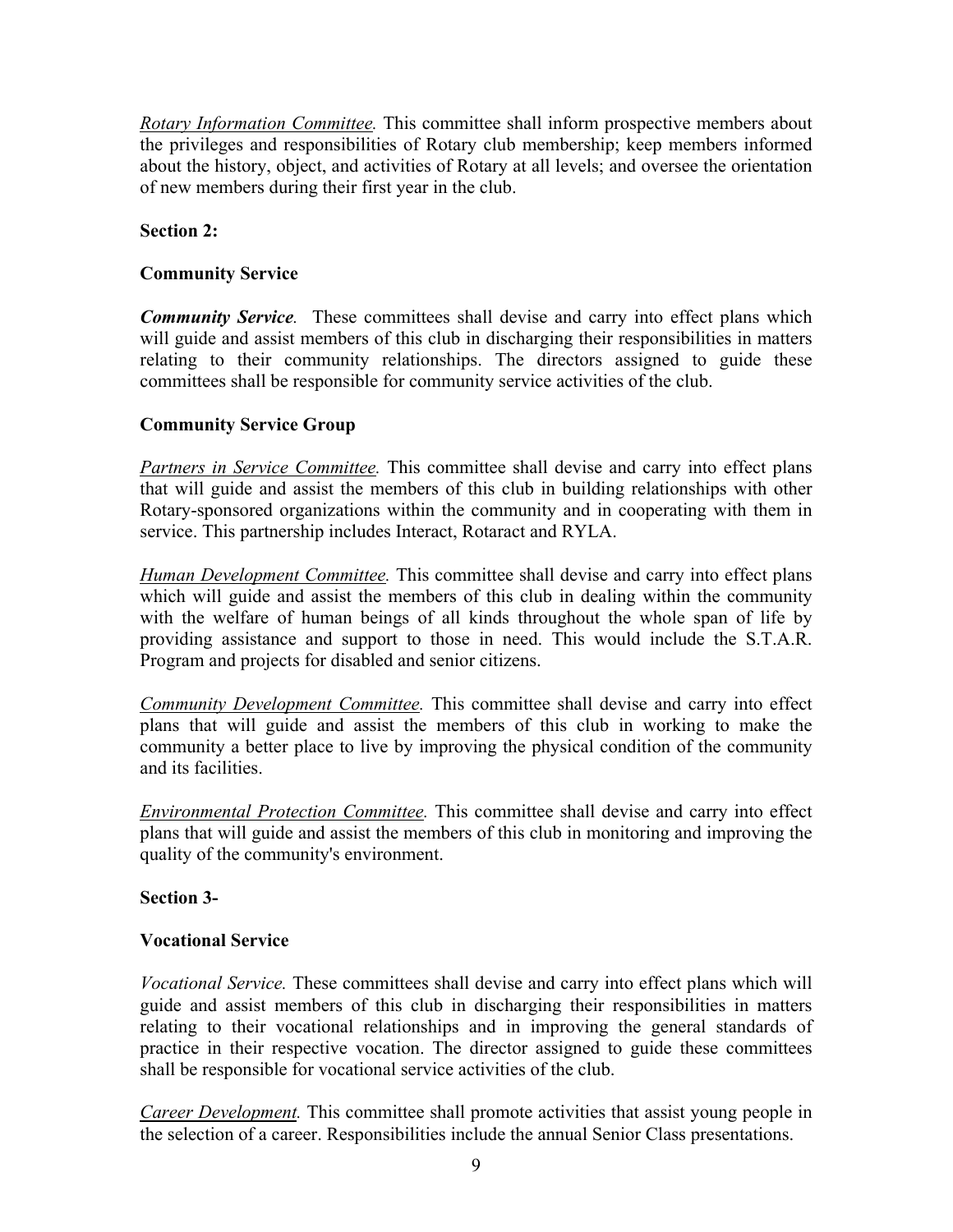*Rotary Information Committee.* This committee shall inform prospective members about the privileges and responsibilities of Rotary club membership; keep members informed about the history, object, and activities of Rotary at all levels; and oversee the orientation of new members during their first year in the club.

# **Section 2:**

# **Community Service**

*Community Service.* These committees shall devise and carry into effect plans which will guide and assist members of this club in discharging their responsibilities in matters relating to their community relationships. The directors assigned to guide these committees shall be responsible for community service activities of the club.

# **Community Service Group**

*Partners in Service Committee.* This committee shall devise and carry into effect plans that will guide and assist the members of this club in building relationships with other Rotary-sponsored organizations within the community and in cooperating with them in service. This partnership includes Interact, Rotaract and RYLA.

*Human Development Committee.* This committee shall devise and carry into effect plans which will guide and assist the members of this club in dealing within the community with the welfare of human beings of all kinds throughout the whole span of life by providing assistance and support to those in need. This would include the S.T.A.R. Program and projects for disabled and senior citizens.

*Community Development Committee.* This committee shall devise and carry into effect plans that will guide and assist the members of this club in working to make the community a better place to live by improving the physical condition of the community and its facilities.

*Environmental Protection Committee.* This committee shall devise and carry into effect plans that will guide and assist the members of this club in monitoring and improving the quality of the community's environment.

# **Section 3-**

# **Vocational Service**

*Vocational Service.* These committees shall devise and carry into effect plans which will guide and assist members of this club in discharging their responsibilities in matters relating to their vocational relationships and in improving the general standards of practice in their respective vocation. The director assigned to guide these committees shall be responsible for vocational service activities of the club.

*Career Development.* This committee shall promote activities that assist young people in the selection of a career. Responsibilities include the annual Senior Class presentations.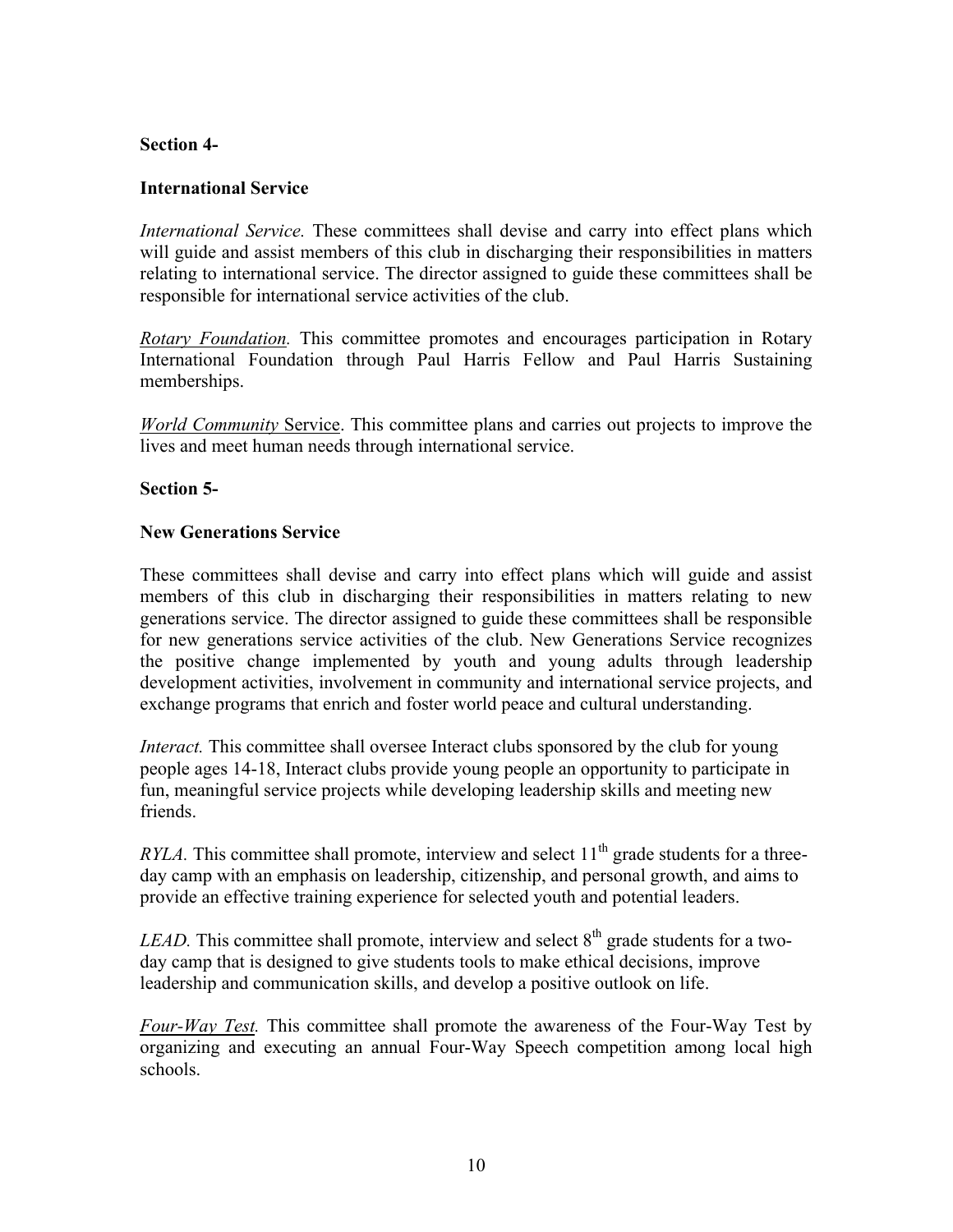# **Section 4-**

## **International Service**

*International Service.* These committees shall devise and carry into effect plans which will guide and assist members of this club in discharging their responsibilities in matters relating to international service. The director assigned to guide these committees shall be responsible for international service activities of the club.

*Rotary Foundation.* This committee promotes and encourages participation in Rotary International Foundation through Paul Harris Fellow and Paul Harris Sustaining memberships.

*World Community* Service. This committee plans and carries out projects to improve the lives and meet human needs through international service.

#### **Section 5-**

## **New Generations Service**

These committees shall devise and carry into effect plans which will guide and assist members of this club in discharging their responsibilities in matters relating to new generations service. The director assigned to guide these committees shall be responsible for new generations service activities of the club. New Generations Service recognizes the positive change implemented by youth and young adults through leadership development activities, involvement in community and international service projects, and exchange programs that enrich and foster world peace and cultural understanding.

*Interact.* This committee shall oversee Interact clubs sponsored by the club for young people ages 14-18, Interact clubs provide young people an opportunity to participate in fun, meaningful service projects while developing leadership skills and meeting new friends.

*RYLA*. This committee shall promote, interview and select  $11<sup>th</sup>$  grade students for a threeday camp with an emphasis on leadership, citizenship, and personal growth, and aims to provide an effective training experience for selected youth and potential leaders.

*LEAD*. This committee shall promote, interview and select 8<sup>th</sup> grade students for a twoday camp that is designed to give students tools to make ethical decisions, improve leadership and communication skills, and develop a positive outlook on life.

*Four-Way Test.* This committee shall promote the awareness of the Four-Way Test by organizing and executing an annual Four-Way Speech competition among local high schools.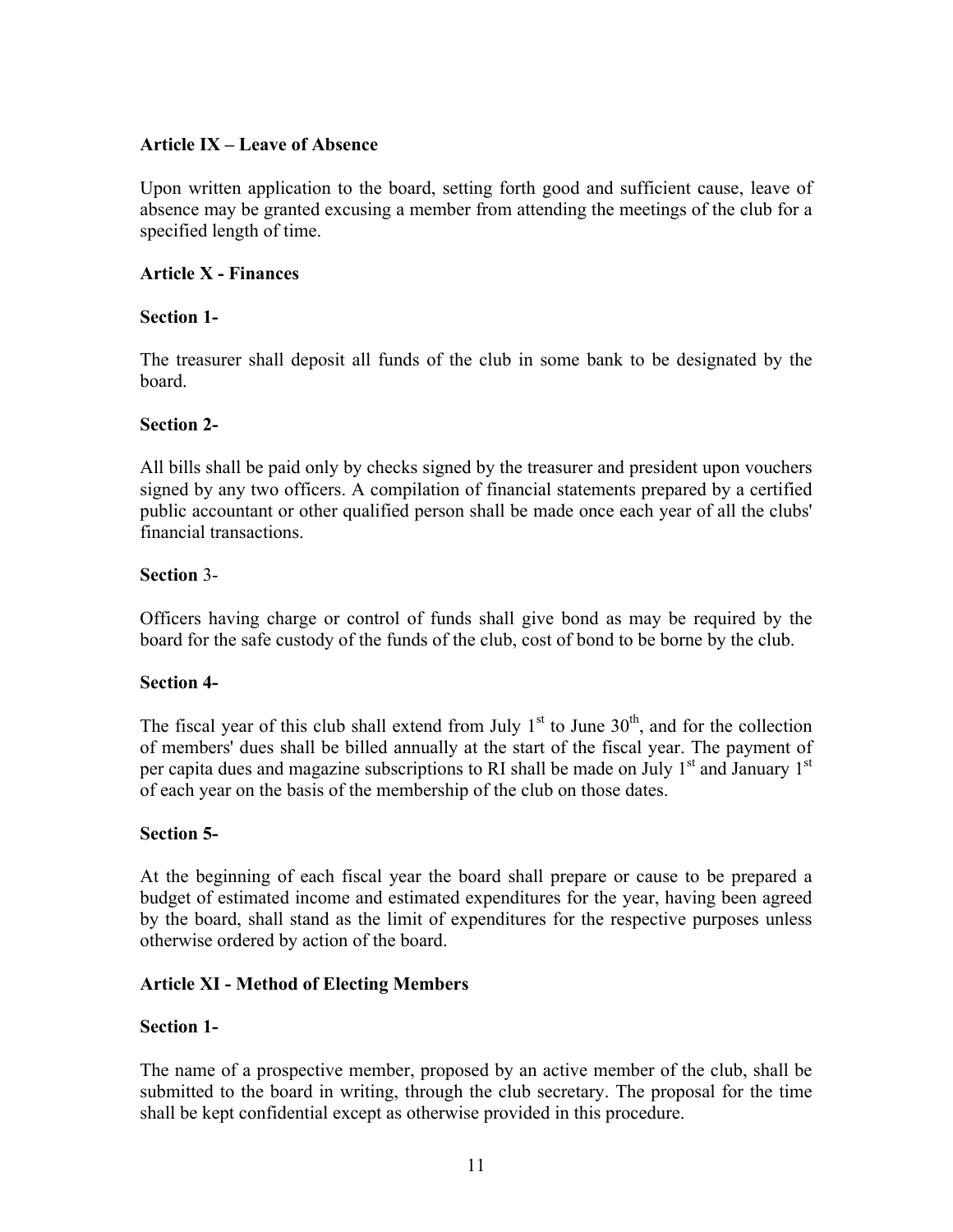# **Article IX – Leave of Absence**

Upon written application to the board, setting forth good and sufficient cause, leave of absence may be granted excusing a member from attending the meetings of the club for a specified length of time.

# **Article X - Finances**

# **Section 1-**

The treasurer shall deposit all funds of the club in some bank to be designated by the board.

## **Section 2-**

All bills shall be paid only by checks signed by the treasurer and president upon vouchers signed by any two officers. A compilation of financial statements prepared by a certified public accountant or other qualified person shall be made once each year of all the clubs' financial transactions.

## **Section** 3-

Officers having charge or control of funds shall give bond as may be required by the board for the safe custody of the funds of the club, cost of bond to be borne by the club.

#### **Section 4-**

The fiscal year of this club shall extend from July  $1<sup>st</sup>$  to June  $30<sup>th</sup>$ , and for the collection of members' dues shall be billed annually at the start of the fiscal year. The payment of per capita dues and magazine subscriptions to RI shall be made on July 1<sup>st</sup> and January 1<sup>st</sup> of each year on the basis of the membership of the club on those dates.

#### **Section 5-**

At the beginning of each fiscal year the board shall prepare or cause to be prepared a budget of estimated income and estimated expenditures for the year, having been agreed by the board, shall stand as the limit of expenditures for the respective purposes unless otherwise ordered by action of the board.

# **Article XI - Method of Electing Members**

# **Section 1-**

The name of a prospective member, proposed by an active member of the club, shall be submitted to the board in writing, through the club secretary. The proposal for the time shall be kept confidential except as otherwise provided in this procedure.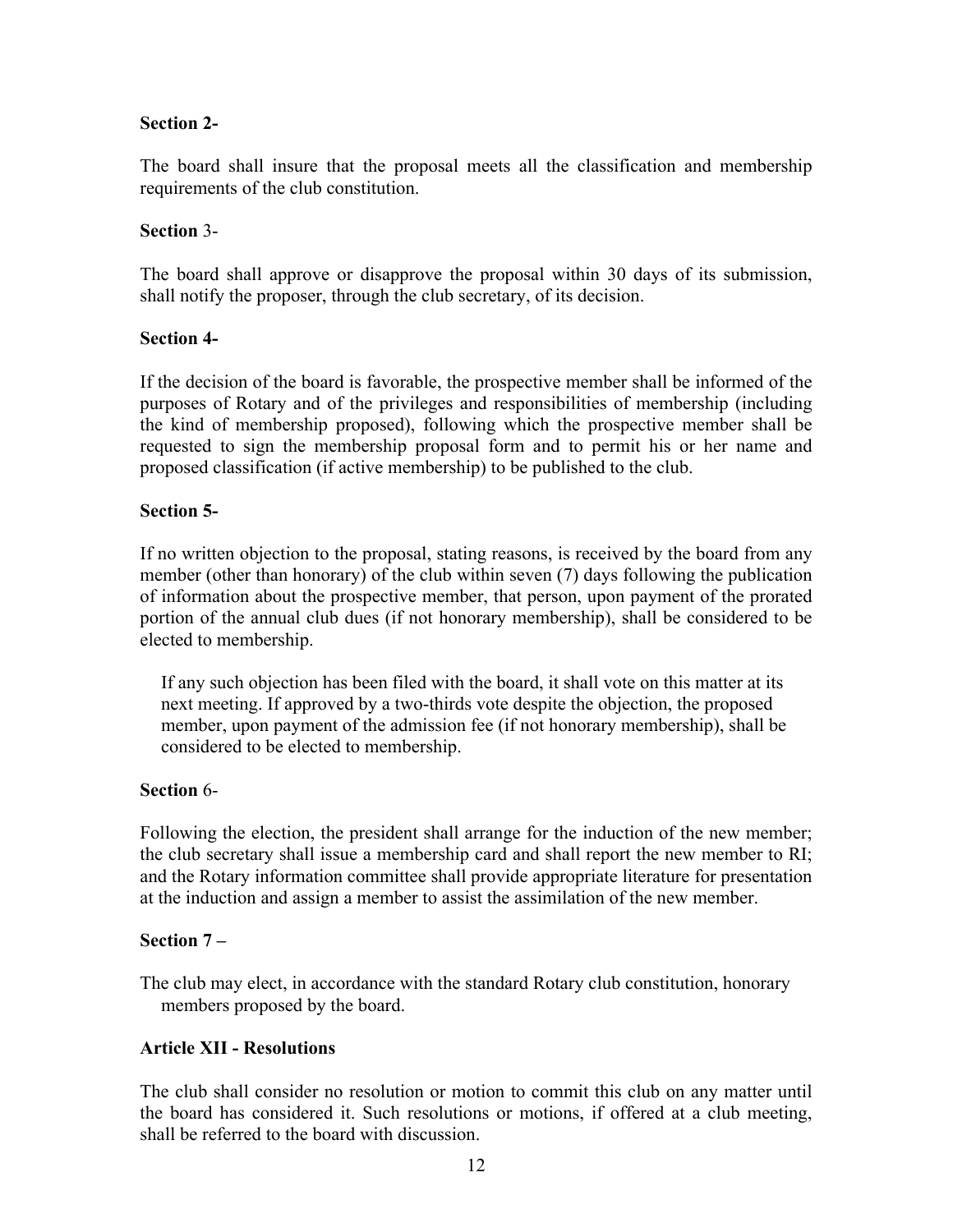# **Section 2-**

The board shall insure that the proposal meets all the classification and membership requirements of the club constitution.

## **Section** 3-

The board shall approve or disapprove the proposal within 30 days of its submission, shall notify the proposer, through the club secretary, of its decision.

## **Section 4-**

If the decision of the board is favorable, the prospective member shall be informed of the purposes of Rotary and of the privileges and responsibilities of membership (including the kind of membership proposed), following which the prospective member shall be requested to sign the membership proposal form and to permit his or her name and proposed classification (if active membership) to be published to the club.

## **Section 5-**

If no written objection to the proposal, stating reasons, is received by the board from any member (other than honorary) of the club within seven (7) days following the publication of information about the prospective member, that person, upon payment of the prorated portion of the annual club dues (if not honorary membership), shall be considered to be elected to membership.

If any such objection has been filed with the board, it shall vote on this matter at its next meeting. If approved by a two-thirds vote despite the objection, the proposed member, upon payment of the admission fee (if not honorary membership), shall be considered to be elected to membership.

#### **Section** 6-

Following the election, the president shall arrange for the induction of the new member; the club secretary shall issue a membership card and shall report the new member to RI; and the Rotary information committee shall provide appropriate literature for presentation at the induction and assign a member to assist the assimilation of the new member.

#### **Section 7 –**

The club may elect, in accordance with the standard Rotary club constitution, honorary members proposed by the board.

# **Article XII - Resolutions**

The club shall consider no resolution or motion to commit this club on any matter until the board has considered it. Such resolutions or motions, if offered at a club meeting, shall be referred to the board with discussion.